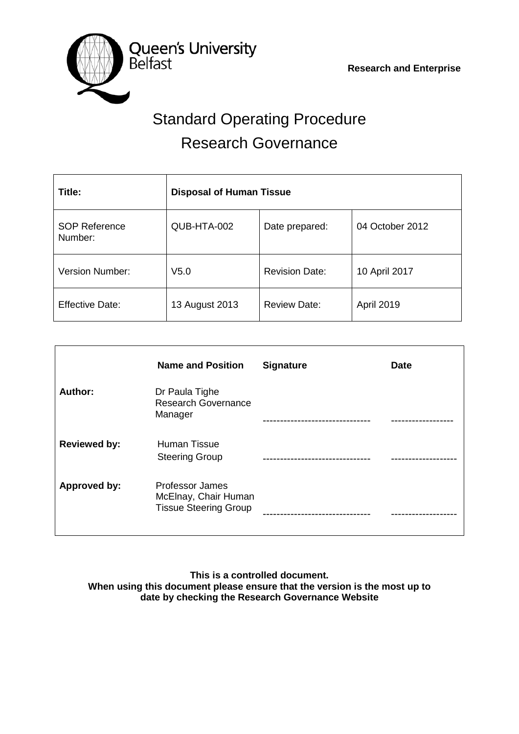

# Standard Operating Procedure Research Governance

| Title:                          | <b>Disposal of Human Tissue</b> |                       |                   |
|---------------------------------|---------------------------------|-----------------------|-------------------|
| <b>SOP Reference</b><br>Number: | QUB-HTA-002                     | Date prepared:        | 04 October 2012   |
| <b>Version Number:</b>          | V <sub>5.0</sub>                | <b>Revision Date:</b> | 10 April 2017     |
| <b>Effective Date:</b>          | 13 August 2013                  | <b>Review Date:</b>   | <b>April 2019</b> |

|                     | <b>Name and Position</b>                                                       | <b>Signature</b> | <b>Date</b> |
|---------------------|--------------------------------------------------------------------------------|------------------|-------------|
| Author:             | Dr Paula Tighe<br><b>Research Governance</b><br>Manager                        |                  |             |
| <b>Reviewed by:</b> | <b>Human Tissue</b><br><b>Steering Group</b>                                   |                  |             |
| <b>Approved by:</b> | <b>Professor James</b><br>McElnay, Chair Human<br><b>Tissue Steering Group</b> |                  |             |

**This is a controlled document. When using this document please ensure that the version is the most up to date by checking the Research Governance Website**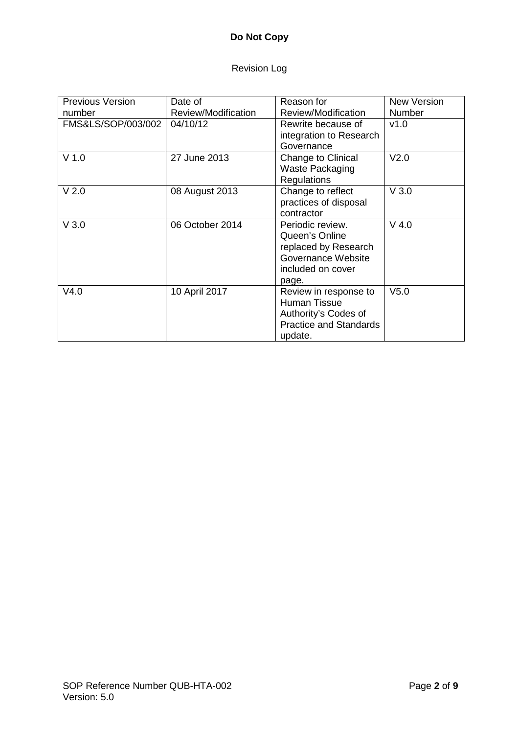# **Do Not Copy**

# Revision Log

| <b>Previous Version</b> | Date of             | Reason for                                                                                                       | <b>New Version</b> |
|-------------------------|---------------------|------------------------------------------------------------------------------------------------------------------|--------------------|
| number                  | Review/Modification | Review/Modification                                                                                              | Number             |
| FMS&LS/SOP/003/002      | 04/10/12            | Rewrite because of<br>integration to Research<br>Governance                                                      | v1.0               |
| $V$ 1.0                 | 27 June 2013        | Change to Clinical<br><b>Waste Packaging</b><br><b>Regulations</b>                                               | V <sub>2.0</sub>   |
| V <sub>2.0</sub>        | 08 August 2013      | Change to reflect<br>practices of disposal<br>contractor                                                         | V3.0               |
| $V$ 3.0                 | 06 October 2014     | Periodic review.<br>Queen's Online<br>replaced by Research<br>Governance Website<br>included on cover<br>page.   | $V$ 4.0            |
| V4.0                    | 10 April 2017       | Review in response to<br><b>Human Tissue</b><br>Authority's Codes of<br><b>Practice and Standards</b><br>update. | V <sub>5.0</sub>   |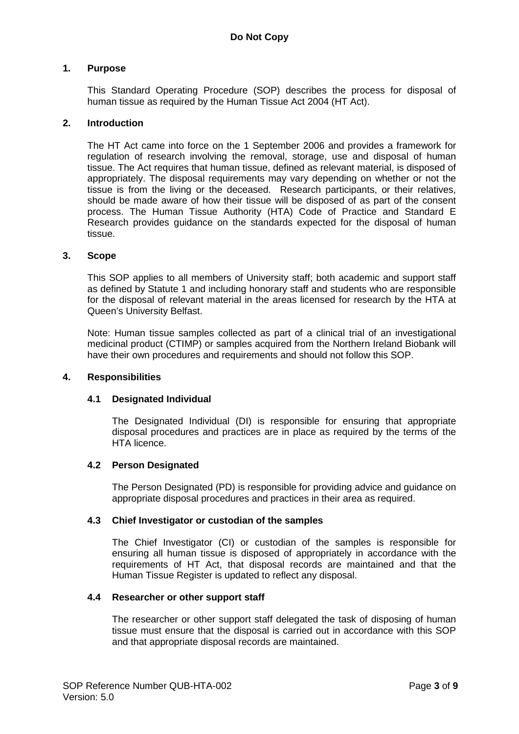## **1. Purpose**

This Standard Operating Procedure (SOP) describes the process for disposal of human tissue as required by the Human Tissue Act 2004 (HT Act).

#### **2. Introduction**

The HT Act came into force on the 1 September 2006 and provides a framework for regulation of research involving the removal, storage, use and disposal of human tissue. The Act requires that human tissue, defined as relevant material, is disposed of appropriately. The disposal requirements may vary depending on whether or not the tissue is from the living or the deceased. Research participants, or their relatives, should be made aware of how their tissue will be disposed of as part of the consent process. The Human Tissue Authority (HTA) Code of Practice and Standard E Research provides guidance on the standards expected for the disposal of human tissue.

#### **3. Scope**

This SOP applies to all members of University staff; both academic and support staff as defined by Statute 1 and including honorary staff and students who are responsible for the disposal of relevant material in the areas licensed for research by the HTA at Queen's University Belfast.

Note: Human tissue samples collected as part of a clinical trial of an investigational medicinal product (CTIMP) or samples acquired from the Northern Ireland Biobank will have their own procedures and requirements and should not follow this SOP.

#### **4. Responsibilities**

#### **4.1 Designated Individual**

The Designated Individual (DI) is responsible for ensuring that appropriate disposal procedures and practices are in place as required by the terms of the HTA licence.

#### **4.2 Person Designated**

The Person Designated (PD) is responsible for providing advice and guidance on appropriate disposal procedures and practices in their area as required.

#### **4.3 Chief Investigator or custodian of the samples**

The Chief Investigator (CI) or custodian of the samples is responsible for ensuring all human tissue is disposed of appropriately in accordance with the requirements of HT Act, that disposal records are maintained and that the Human Tissue Register is updated to reflect any disposal.

#### **4.4 Researcher or other support staff**

The researcher or other support staff delegated the task of disposing of human tissue must ensure that the disposal is carried out in accordance with this SOP and that appropriate disposal records are maintained.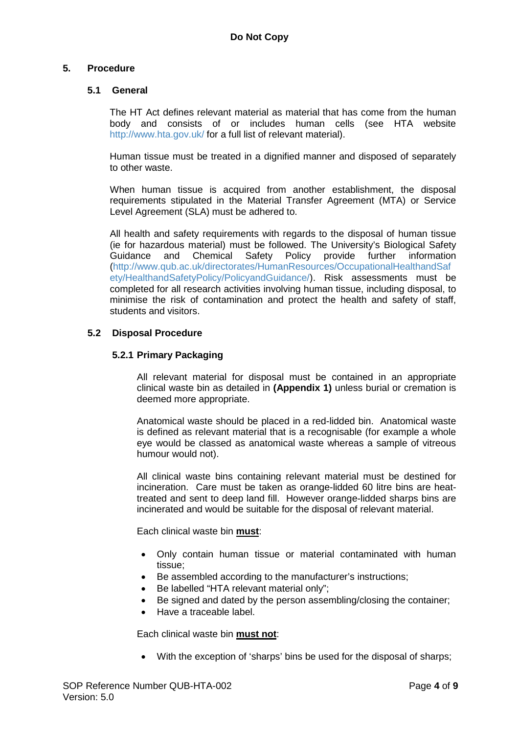#### **5. Procedure**

#### **5.1 General**

The HT Act defines relevant material as material that has come from the human body and consists of or includes human cells (see HTA website <http://www.hta.gov.uk/> for a full list of relevant material).

Human tissue must be treated in a dignified manner and disposed of separately to other waste.

When human tissue is acquired from another establishment, the disposal requirements stipulated in the Material Transfer Agreement (MTA) or Service Level Agreement (SLA) must be adhered to.

All health and safety requirements with regards to the disposal of human tissue (ie for hazardous material) must be followed. The University's Biological Safety provide further information [\(http://www.qub.ac.uk/directorates/HumanResources/OccupationalHealthandSaf](http://www.qub.ac.uk/directorates/HumanResources/OccupationalHealthandSafety/HealthandSafetyPolicy/PolicyandGuidance/) [ety/HealthandSafetyPolicy/PolicyandGuidance/\)](http://www.qub.ac.uk/directorates/HumanResources/OccupationalHealthandSafety/HealthandSafetyPolicy/PolicyandGuidance/). Risk assessments must be completed for all research activities involving human tissue, including disposal, to minimise the risk of contamination and protect the health and safety of staff, students and visitors.

## **5.2 Disposal Procedure**

#### **5.2.1 Primary Packaging**

All relevant material for disposal must be contained in an appropriate clinical waste bin as detailed in **(Appendix 1)** unless burial or cremation is deemed more appropriate.

Anatomical waste should be placed in a red-lidded bin. Anatomical waste is defined as relevant material that is a recognisable (for example a whole eye would be classed as anatomical waste whereas a sample of vitreous humour would not).

All clinical waste bins containing relevant material must be destined for incineration. Care must be taken as orange-lidded 60 litre bins are heattreated and sent to deep land fill. However orange-lidded sharps bins are incinerated and would be suitable for the disposal of relevant material.

Each clinical waste bin **must**:

- Only contain human tissue or material contaminated with human tissue;
- Be assembled according to the manufacturer's instructions;
- Be labelled "HTA relevant material only";
- Be signed and dated by the person assembling/closing the container:
- Have a traceable label.

Each clinical waste bin **must not**:

• With the exception of 'sharps' bins be used for the disposal of sharps;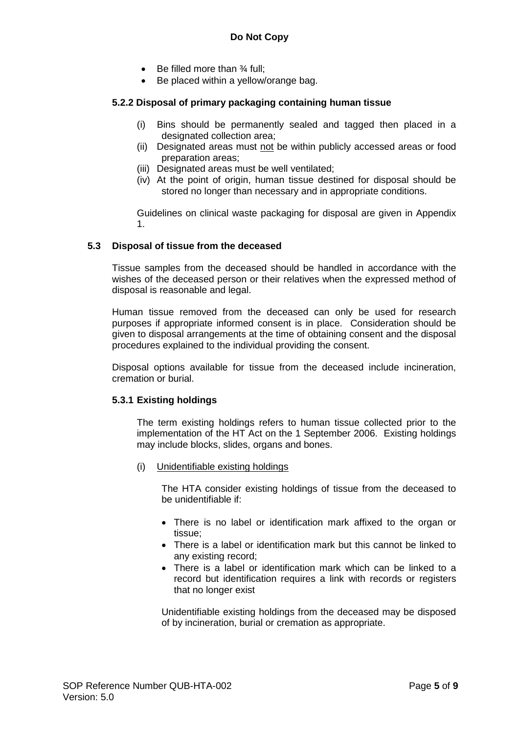- Be filled more than ¾ full;
- Be placed within a yellow/orange bag.

### **5.2.2 Disposal of primary packaging containing human tissue**

- (i) Bins should be permanently sealed and tagged then placed in a designated collection area;
- (ii) Designated areas must not be within publicly accessed areas or food preparation areas;
- (iii) Designated areas must be well ventilated;
- (iv) At the point of origin, human tissue destined for disposal should be stored no longer than necessary and in appropriate conditions.

Guidelines on clinical waste packaging for disposal are given in Appendix 1.

#### **5.3 Disposal of tissue from the deceased**

Tissue samples from the deceased should be handled in accordance with the wishes of the deceased person or their relatives when the expressed method of disposal is reasonable and legal.

Human tissue removed from the deceased can only be used for research purposes if appropriate informed consent is in place. Consideration should be given to disposal arrangements at the time of obtaining consent and the disposal procedures explained to the individual providing the consent.

Disposal options available for tissue from the deceased include incineration, cremation or burial.

#### **5.3.1 Existing holdings**

The term existing holdings refers to human tissue collected prior to the implementation of the HT Act on the 1 September 2006. Existing holdings may include blocks, slides, organs and bones.

(i) Unidentifiable existing holdings

The HTA consider existing holdings of tissue from the deceased to be unidentifiable if:

- There is no label or identification mark affixed to the organ or tissue;
- There is a label or identification mark but this cannot be linked to any existing record;
- There is a label or identification mark which can be linked to a record but identification requires a link with records or registers that no longer exist

Unidentifiable existing holdings from the deceased may be disposed of by incineration, burial or cremation as appropriate.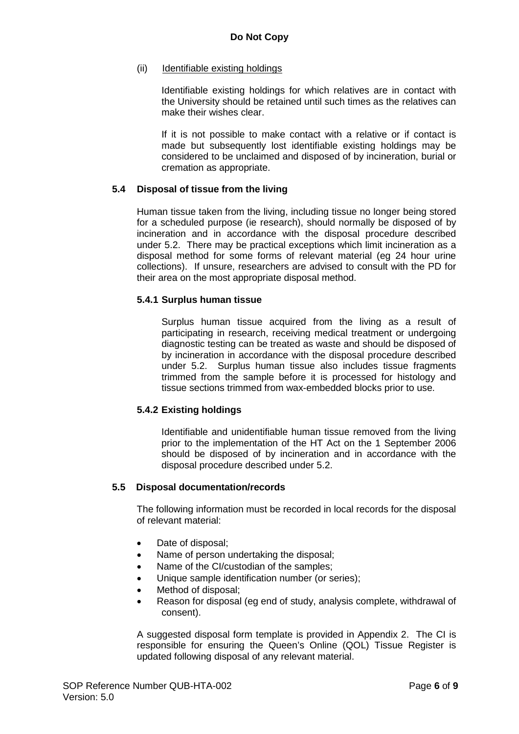#### (ii) Identifiable existing holdings

Identifiable existing holdings for which relatives are in contact with the University should be retained until such times as the relatives can make their wishes clear.

If it is not possible to make contact with a relative or if contact is made but subsequently lost identifiable existing holdings may be considered to be unclaimed and disposed of by incineration, burial or cremation as appropriate.

#### **5.4 Disposal of tissue from the living**

Human tissue taken from the living, including tissue no longer being stored for a scheduled purpose (ie research), should normally be disposed of by incineration and in accordance with the disposal procedure described under 5.2. There may be practical exceptions which limit incineration as a disposal method for some forms of relevant material (eg 24 hour urine collections). If unsure, researchers are advised to consult with the PD for their area on the most appropriate disposal method.

#### **5.4.1 Surplus human tissue**

Surplus human tissue acquired from the living as a result of participating in research, receiving medical treatment or undergoing diagnostic testing can be treated as waste and should be disposed of by incineration in accordance with the disposal procedure described under 5.2. Surplus human tissue also includes tissue fragments trimmed from the sample before it is processed for histology and tissue sections trimmed from wax-embedded blocks prior to use.

#### **5.4.2 Existing holdings**

Identifiable and unidentifiable human tissue removed from the living prior to the implementation of the HT Act on the 1 September 2006 should be disposed of by incineration and in accordance with the disposal procedure described under 5.2.

#### **5.5 Disposal documentation/records**

The following information must be recorded in local records for the disposal of relevant material:

- Date of disposal:
- Name of person undertaking the disposal;
- Name of the CI/custodian of the samples;
- Unique sample identification number (or series);
- Method of disposal:
- Reason for disposal (eg end of study, analysis complete, withdrawal of consent).

A suggested disposal form template is provided in Appendix 2. The CI is responsible for ensuring the Queen's Online (QOL) Tissue Register is updated following disposal of any relevant material.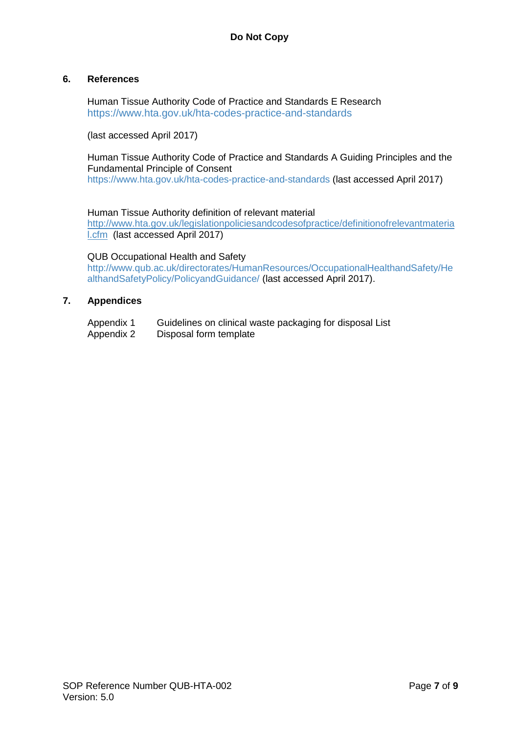#### **6. References**

Human Tissue Authority Code of Practice and Standards E Research <https://www.hta.gov.uk/hta-codes-practice-and-standards>

(last accessed April 2017)

Human Tissue Authority Code of Practice and Standards A Guiding Principles and the Fundamental Principle of Consent

<https://www.hta.gov.uk/hta-codes-practice-and-standards> (last accessed April 2017)

Human Tissue Authority definition of relevant material [http://www.hta.gov.uk/legislationpoliciesandcodesofpractice/definitionofrelevantmateria](http://www.hta.gov.uk/legislationpoliciesandcodesofpractice/definitionofrelevantmaterial.cfm)

[l.cfm](http://www.hta.gov.uk/legislationpoliciesandcodesofpractice/definitionofrelevantmaterial.cfm) (last accessed April 2017)

QUB Occupational Health and Safety

[http://www.qub.ac.uk/directorates/HumanResources/OccupationalHealthandSafety/He](http://www.qub.ac.uk/directorates/HumanResources/OccupationalHealthandSafety/HealthandSafetyPolicy/PolicyandGuidance/) [althandSafetyPolicy/PolicyandGuidance/](http://www.qub.ac.uk/directorates/HumanResources/OccupationalHealthandSafety/HealthandSafetyPolicy/PolicyandGuidance/) (last accessed April 2017).

### **7. Appendices**

| Appendix 1 | Guidelines on clinical waste packaging for disposal List |
|------------|----------------------------------------------------------|
| Appendix 2 | Disposal form template                                   |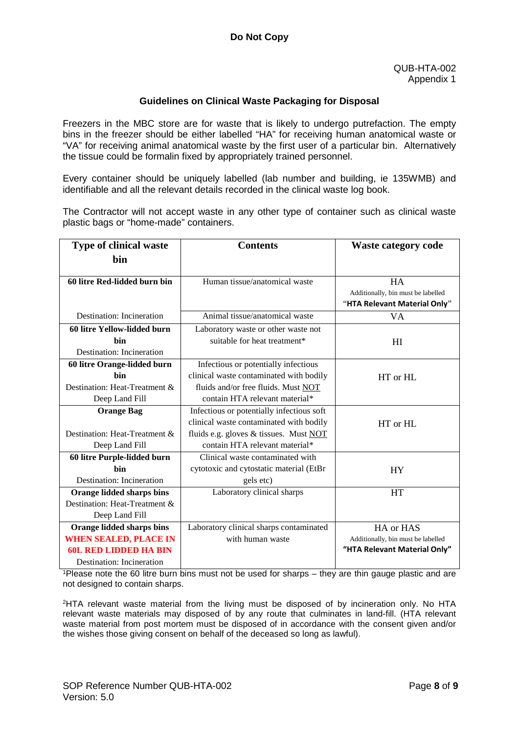#### **Guidelines on Clinical Waste Packaging for Disposal**

Freezers in the MBC store are for waste that is likely to undergo putrefaction. The empty bins in the freezer should be either labelled "HA" for receiving human anatomical waste or "VA" for receiving animal anatomical waste by the first user of a particular bin. Alternatively the tissue could be formalin fixed by appropriately trained personnel.

Every container should be uniquely labelled (lab number and building, ie 135WMB) and identifiable and all the relevant details recorded in the clinical waste log book.

The Contractor will not accept waste in any other type of container such as clinical waste plastic bags or "home-made" containers.

| <b>Type of clinical waste</b> | <b>Contents</b>                           | <b>Waste category code</b>                      |
|-------------------------------|-------------------------------------------|-------------------------------------------------|
| bin                           |                                           |                                                 |
| 60 litre Red-lidded burn bin  | Human tissue/anatomical waste             | <b>HA</b><br>Additionally, bin must be labelled |
| Destination: Incineration     | Animal tissue/anatomical waste            | "HTA Relevant Material Only"<br><b>VA</b>       |
|                               |                                           |                                                 |
| 60 litre Yellow-lidded burn   | Laboratory waste or other waste not       |                                                 |
| hin                           | suitable for heat treatment*              | H <sub>I</sub>                                  |
| Destination: Incineration     |                                           |                                                 |
| 60 litre Orange-lidded burn   | Infectious or potentially infectious      |                                                 |
| hin                           | clinical waste contaminated with bodily   | HT or HL                                        |
| Destination: Heat-Treatment & | fluids and/or free fluids. Must NOT       |                                                 |
| Deep Land Fill                | contain HTA relevant material*            |                                                 |
| <b>Orange Bag</b>             | Infectious or potentially infectious soft |                                                 |
|                               | clinical waste contaminated with bodily   | $HT$ or $HI$ .                                  |
| Destination: Heat-Treatment & | fluids e.g. gloves & tissues. Must NOT    |                                                 |
| Deep Land Fill                | contain HTA relevant material*            |                                                 |
| 60 litre Purple-lidded burn   | Clinical waste contaminated with          |                                                 |
| hin                           | cytotoxic and cytostatic material (EtBr   | <b>HY</b>                                       |
| Destination: Incineration     | gels etc)                                 |                                                 |
| Orange lidded sharps bins     | Laboratory clinical sharps                | <b>HT</b>                                       |
| Destination: Heat-Treatment & |                                           |                                                 |
| Deep Land Fill                |                                           |                                                 |
| Orange lidded sharps bins     | Laboratory clinical sharps contaminated   | HA or HAS                                       |
| <b>WHEN SEALED, PLACE IN</b>  | with human waste                          | Additionally, bin must be labelled              |
| <b>60L RED LIDDED HA BIN</b>  |                                           | "HTA Relevant Material Only"                    |
| Destination: Incineration     |                                           |                                                 |

1Please note the 60 litre burn bins must not be used for sharps – they are thin gauge plastic and are not designed to contain sharps.

2HTA relevant waste material from the living must be disposed of by incineration only. No HTA relevant waste materials may disposed of by any route that culminates in land-fill. (HTA relevant waste material from post mortem must be disposed of in accordance with the consent given and/or the wishes those giving consent on behalf of the deceased so long as lawful).